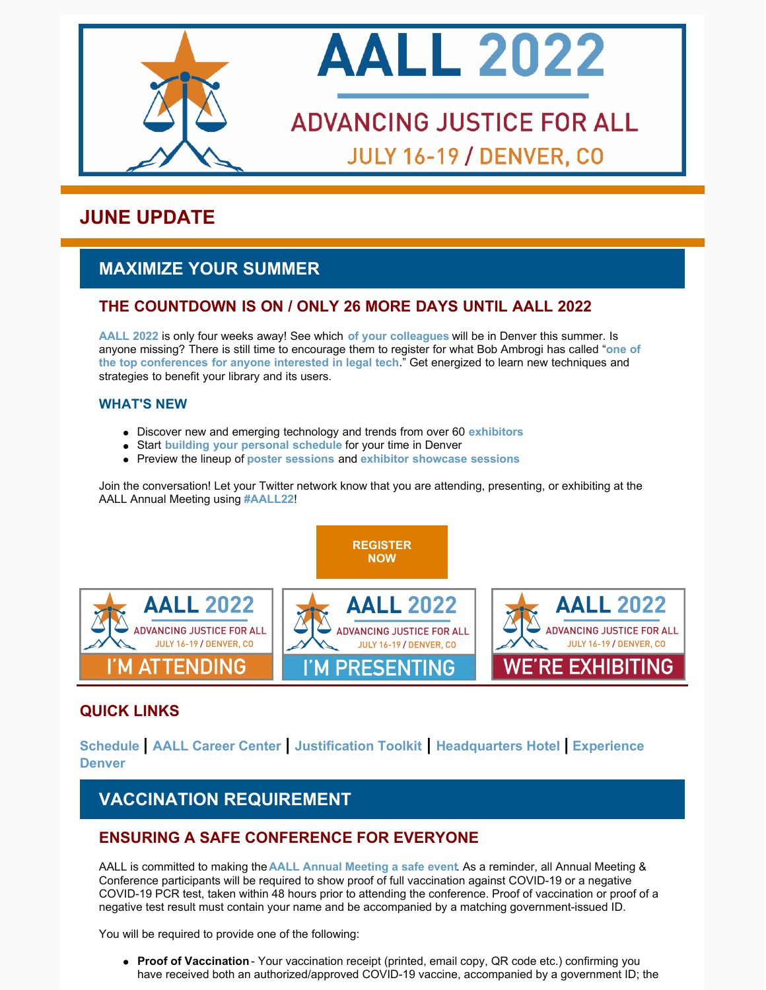



# **ADVANCING JUSTICE FOR ALL JULY 16-19 / DENVER, CO**

# **JUNE UPDATE**

# **MAXIMIZE YOUR SUMMER**

## **THE COUNTDOWN IS ON / ONLY 26 MORE DAYS UNTIL AALL 2022**

**[AALL 2022](https://www.aallnet.org/conference/)** is only four weeks away! See which **[of your colleagues](https://eventmobi.com/aall2022/people/ef0c5398-586b-427d-b542-c1aa49688886)** will be in Denver this summer. Is anyone [missing? There is still time to encourage them to register for what Bob Ambrogi has called "](https://www.lawnext.com/2022/05/why-legal-tech-fans-should-attend-aall-in-july.html)**one of the top conferences for anyone interested in legal tech**." Get energized to learn new techniques and strategies to benefit your library and its users.

#### **WHAT'S NEW**

- Discover new and emerging technology and trends from over 60 **[exhibitors](https://eventmobi.com/aall2022/companies/05062b8e-7851-4f1a-a344-971a35ae2dd6)**
- Start **[building your personal schedule](https://eventmobi.com/aall2022/)** for your time in Denver
- Preview the lineup of **[poster sessions](https://www.aallnet.org/conference/agenda/poster-sessions/)** and **[exhibitor showcase sessions](https://eventmobi.com/aall2022/agenda/289e20bb-e2ba-4bc3-bcb5-3e382ebcae13/day/all)**

Join the conversation! Let your Twitter network know that you are attending, presenting, or exhibiting at the AALL Annual Meeting using **[#AALL22](https://twitter.com/search?q=AALL22&src=typed_query&f=live)**!



**[REGISTER](https://aallconference.org/registration/)**

## **QUICK LINKS**

**[Schedule](https://eventmobi.com/aall2022/agenda/a726b21f-5b6b-4478-8355-f5025035fcf1/day/all) | [AALL Career Center](https://www.aallnet.org/conference/about/host-city/) | [Justification Toolkit](https://www.aallnet.org/conference/attend/getting-boss-say-yes/) | [Headquarters Hotel](https://www.aallnet.org/conference/attend/housing/) | Experience Denver**

# **VACCINATION REQUIREMENT**

## **ENSURING A SAFE CONFERENCE FOR EVERYONE**

AALL is committed to making the **[AALL Annual Meeting a safe event](https://www.aallnet.org/conference/about/covid-19-health-safety-requirements/)**. As a reminder, all Annual Meeting & Conference participants will be required to show proof of full vaccination against COVID-19 or a negative COVID-19 PCR test, taken within 48 hours prior to attending the conference. Proof of vaccination or proof of a negative test result must contain your name and be accompanied by a matching government-issued ID.

You will be required to provide one of the following:

**Proof of Vaccination** - Your vaccination receipt (printed, email copy, QR code etc.) confirming you have received both an authorized/approved COVID-19 vaccine, accompanied by a government ID; the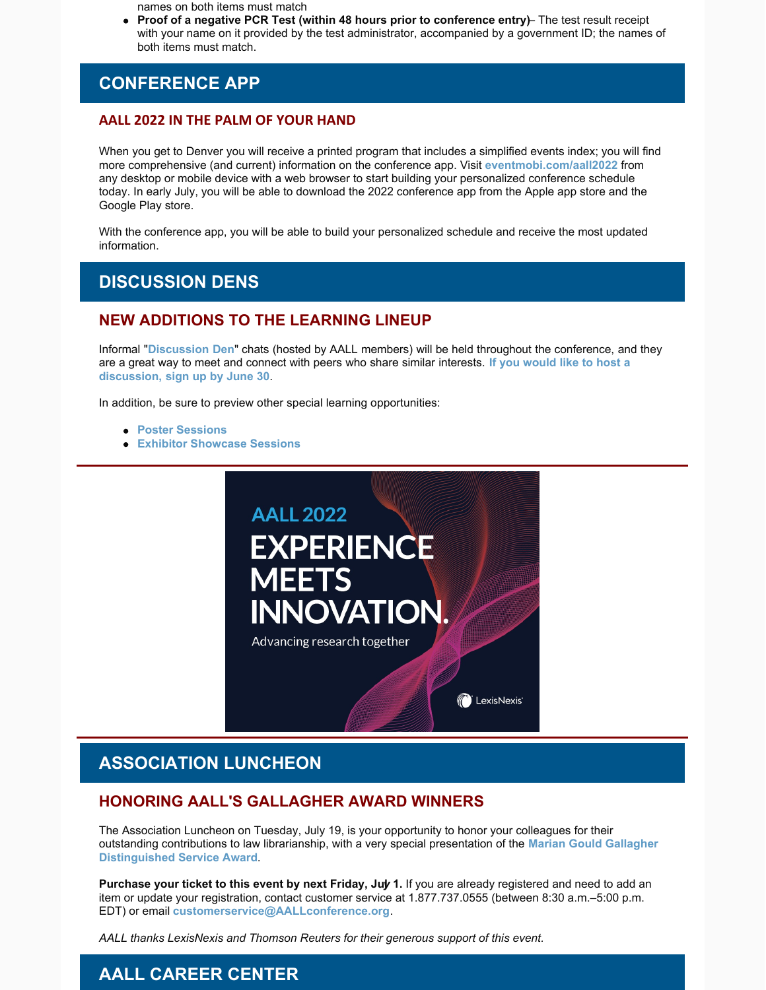names on both items must match

**Proof of a negative PCR Test (within 48 hours prior to conference entry)** – The test result receipt with your name on it provided by the test administrator, accompanied by a government ID; the names of both items must match.

# **CONFERENCE APP**

#### **AALL 2022 IN THE PALM OF YOUR HAND**

When you get to Denver you will receive a printed program that includes a simplified events index; you will find more comprehensive (and current) information on the conference app. Visit **[eventmobi.com/aall2022](http://eventmobi.com/aall2022)** from any desktop or mobile device with a web browser to start building your personalized conference schedule today. In early July, you will be able to download the 2022 conference app from the Apple app store and the Google Play store.

With the conference app, you will be able to build your personalized schedule and receive the most updated information.

## **DISCUSSION DENS**

### **NEW ADDITIONS TO THE LEARNING LINEUP**

Informal "**[Discussion Den](https://www.aallnet.org/conference/agenda/discussion-dens/)**" chats (hosted by AALL members) will be held throughout the conference, and they [are a great way to meet and connect with peers who share similar interests.](https://www.aallnet.org/conference/agenda/discussion-dens/) **If you would like to host a discussion, sign up by June 30**.

In addition, be sure to preview other special learning opportunities:

- **[Poster Sessions](https://www.aallnet.org/conference/agenda/poster-sessions/)**
- **[Exhibitor Showcase Sessions](https://eventmobi.com/aall2022/search?term=exhibitor showcase)**



# **ASSOCIATION LUNCHEON**

### **HONORING AALL'S GALLAGHER AWARD WINNERS**

The Association Luncheon on Tuesday, July 19, is your opportunity to honor your colleagues for their [outstanding contributions to law librarianship, with a very special presentation of the](https://www.aallnet.org/wp-content/uploads/2022/05/PR_AALL-Gallagher-2022-Final_WEB.pdf) **Marian Gould Gallagher Distinguished Service Award**.

**Purchase your ticket to this event by next Friday, July 1.** If you are already registered and need to add an item or update your registration, contact customer service at 1.877.737.0555 (between 8:30 a.m.–5:00 p.m. EDT) or email **[customerservice@AALLconference.org](mailto:customerservice@AALLconference.org)**.

*AALL thanks LexisNexis and Thomson Reuters for their generous support of this event.* 

# **AALL CAREER CENTER**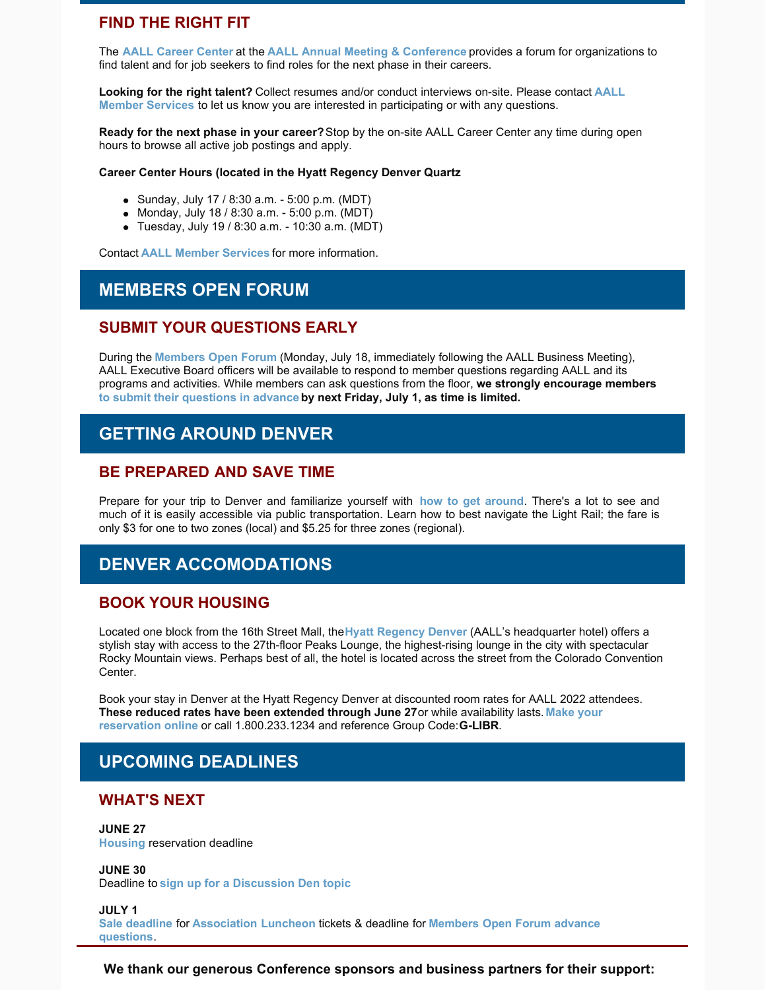#### **FIND THE RIGHT FIT**

The **[AALL Career Center](https://www.aallnet.org/conference/resources/careercenter/)** at the **[AALL Annual Meeting & Conference](https://www.aallnet.org/conference/)** provides a forum for organizations to find talent and for job seekers to find roles for the next phase in their careers.

**Looking for the right talent?** Collect resumes and/or conduct interviews on-site. Please contact **AALL Member Services** [to let us know you are interested in participating or with any questions.](mailto:membership@aall.org)

**Ready for the next phase in your career?** Stop by the on-site AALL Career Center any time during open hours to browse all active job postings and apply.

#### **Career Center Hours (located in the Hyatt Regency Denver Quartz**

- Sunday, July 17 / 8:30 a.m. 5:00 p.m. (MDT)
- Monday, July 18 / 8:30 a.m. 5:00 p.m. (MDT)
- Tuesday, July 19 / 8:30 a.m. 10:30 a.m. (MDT)

Contact **[AALL Member Services](mailto:membership@aall.org)** for more information.

#### **MEMBERS OPEN FORUM**

#### **SUBMIT YOUR QUESTIONS EARLY**

During the **[Members Open Forum](https://eventmobi.com/aall2022/agenda/00000000-0000-0000-0000-4147454e4441/1a79cf05-071f-4233-a9c5-7935db814c95)** (Monday, July 18, immediately following the AALL Business Meeting), AALL Executive Board officers will be available to respond to member questions regarding AALL and its programs and activities. While members can ask questions from the floor, **we strongly encourage members [to submit their questions in advance](https://www.aallnet.org/conference/agenda/membersopenforum/) by next Friday, July 1, as time is limited.** 

## **GETTING AROUND DENVER**

#### **BE PREPARED AND SAVE TIME**

Prepare for your trip to Denver and familiarize yourself with **[how to get around](https://www.denver.org/welcome/getting-around/without-a-car/)**. There's a lot to see and much of it is easily accessible via public transportation. Learn how to best navigate the Light Rail; the fare is only \$3 for one to two zones (local) and \$5.25 for three zones (regional).

## **DENVER ACCOMODATIONS**

#### **BOOK YOUR HOUSING**

Located one block from the 16th Street Mall, the **[Hyatt Regency Denver](https://www.aallnet.org/conference/attend/housing/)** (AALL's headquarter hotel) offers a stylish stay with access to the 27th-floor Peaks Lounge, the highest-rising lounge in the city with spectacular Rocky Mountain views. Perhaps best of all, the hotel is located across the street from the Colorado Convention Center.

Book your stay in Denver at the Hyatt Regency Denver at discounted room rates for AALL 2022 attendees. **[These reduced rates have been extended through June 27](https://www.hyatt.com/en-US/group-booking/DENCC/G-LIBR)** or while availability lasts. **Make your reservation online** or call 1.800.233.1234 and reference Group Code: **G-LIBR**.

## **UPCOMING DEADLINES**

#### **WHAT'S NEXT**

**JUNE 27 [Housing](https://www.aallnet.org/conference/attend/housing/)** reservation deadline

**JUNE 30** Deadline to **[sign up for a Discussion Den topic](https://www.aallnet.org/conference/agenda/discussion-dens/)**

**JULY 1 [Sale deadline](https://aallconference.org/registration/)** for **[Association Luncheon](https://eventmobi.com/aall2022/agenda/00000000-0000-0000-0000-4147454e4441/61fbc49b-b723-4fc0-95d1-8d8776019e0d)** tickets & deadline for **[Members Open Forum advance](https://www.aallnet.org/conference/agenda/membersopenforum/) questions**.

**We thank our generous Conference sponsors and business partners for their support:**